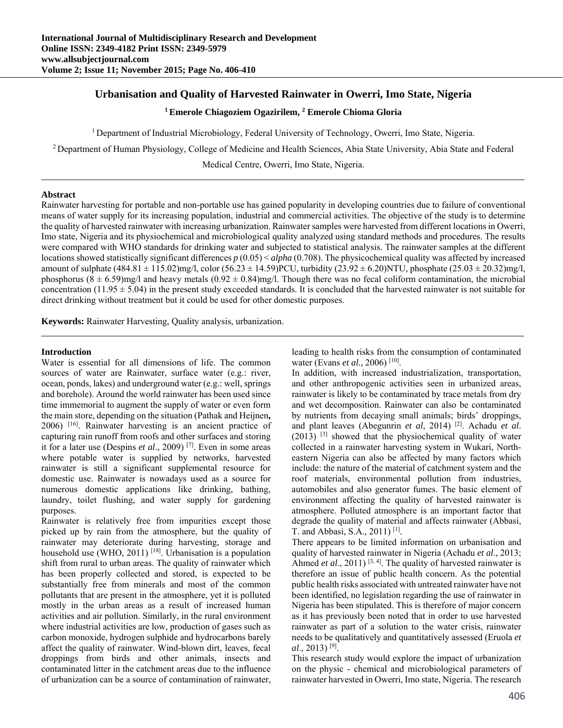## **Urbanisation and Quality of Harvested Rainwater in Owerri, Imo State, Nigeria**

### **1 Emerole Chiagoziem Ogazirilem, 2 Emerole Chioma Gloria**

1 Department of Industrial Microbiology, Federal University of Technology, Owerri, Imo State, Nigeria.

2 Department of Human Physiology, College of Medicine and Health Sciences, Abia State University, Abia State and Federal

Medical Centre, Owerri, Imo State, Nigeria.

### **Abstract**

Rainwater harvesting for portable and non-portable use has gained popularity in developing countries due to failure of conventional means of water supply for its increasing population, industrial and commercial activities. The objective of the study is to determine the quality of harvested rainwater with increasing urbanization. Rainwater samples were harvested from different locations in Owerri, Imo state, Nigeria and its physiochemical and microbiological quality analyzed using standard methods and procedures. The results were compared with WHO standards for drinking water and subjected to statistical analysis. The rainwater samples at the different locations showed statistically significant differences *p* (0.05) < *alpha* (0.708). The physicochemical quality was affected by increased amount of sulphate  $(484.81 \pm 115.02)$ mg/l, color  $(56.23 \pm 14.59)$ PCU, turbidity  $(23.92 \pm 6.20)$ NTU, phosphate  $(25.03 \pm 20.32)$ mg/l, phosphorus  $(8 \pm 6.59)$ mg/l and heavy metals  $(0.92 \pm 0.84)$ mg/l. Though there was no fecal coliform contamination, the microbial concentration (11.95  $\pm$  5.04) in the present study exceeded standards. It is concluded that the harvested rainwater is not suitable for direct drinking without treatment but it could be used for other domestic purposes.

**Keywords:** Rainwater Harvesting, Quality analysis, urbanization.

#### **Introduction**

Water is essential for all dimensions of life. The common sources of water are Rainwater, surface water (e.g.: river, ocean, ponds, lakes) and underground water (e.g.: well, springs and borehole). Around the world rainwater has been used since time immemorial to augment the supply of water or even form the main store, depending on the situation (Pathak and Heijnen**,**  2006) [16]. Rainwater harvesting is an ancient practice of capturing rain runoff from roofs and other surfaces and storing it for a later use (Despins *et al*., 2009) [7]. Even in some areas where potable water is supplied by networks, harvested rainwater is still a significant supplemental resource for domestic use. Rainwater is nowadays used as a source for numerous domestic applications like drinking, bathing, laundry, toilet flushing, and water supply for gardening purposes.

Rainwater is relatively free from impurities except those picked up by rain from the atmosphere, but the quality of rainwater may deteriorate during harvesting, storage and household use (WHO, 2011)  $^{[18]}$ . Urbanisation is a population shift from rural to urban areas. The quality of rainwater which has been properly collected and stored, is expected to be substantially free from minerals and most of the common pollutants that are present in the atmosphere, yet it is polluted mostly in the urban areas as a result of increased human activities and air pollution. Similarly, in the rural environment where industrial activities are low, production of gases such as carbon monoxide, hydrogen sulphide and hydrocarbons barely affect the quality of rainwater. Wind-blown dirt, leaves, fecal droppings from birds and other animals, insects and contaminated litter in the catchment areas due to the influence of urbanization can be a source of contamination of rainwater,

leading to health risks from the consumption of contaminated water (Evans *et al.,* 2006) [10].

In addition, with increased industrialization, transportation, and other anthropogenic activities seen in urbanized areas, rainwater is likely to be contaminated by trace metals from dry and wet decomposition. Rainwater can also be contaminated by nutrients from decaying small animals; birds' droppings, and plant leaves (Abegunrin *et al*, 2014) [2]. Achadu *et al*.  $(2013)$  <sup>[3]</sup> showed that the physiochemical quality of water collected in a rainwater harvesting system in Wukari, Northeastern Nigeria can also be affected by many factors which include: the nature of the material of catchment system and the roof materials, environmental pollution from industries, automobiles and also generator fumes. The basic element of environment affecting the quality of harvested rainwater is atmosphere. Polluted atmosphere is an important factor that degrade the quality of material and affects rainwater (Abbasi, T. and Abbasi, S.A., 2011) [1].

There appears to be limited information on urbanisation and quality of harvested rainwater in Nigeria (Achadu *et al*., 2013; Ahmed *et al.*, 2011)<sup>[3, 4]</sup>. The quality of harvested rainwater is therefore an issue of public health concern. As the potential public health risks associated with untreated rainwater have not been identified, no legislation regarding the use of rainwater in Nigeria has been stipulated. This is therefore of major concern as it has previously been noted that in order to use harvested rainwater as part of a solution to the water crisis, rainwater needs to be qualitatively and quantitatively assessed (Eruola *et al*., 2013) [9].

This research study would explore the impact of urbanization on the physic - chemical and microbiological parameters of rainwater harvested in Owerri, Imo state, Nigeria. The research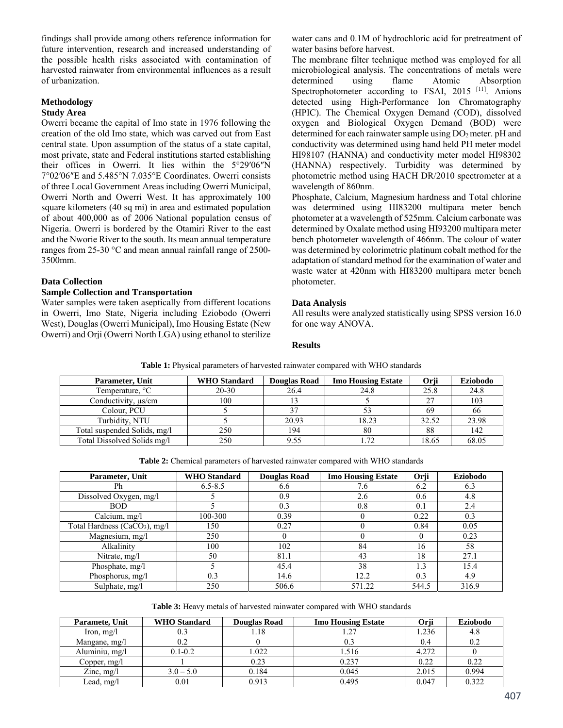findings shall provide among others reference information for future intervention, research and increased understanding of the possible health risks associated with contamination of harvested rainwater from environmental influences as a result of urbanization.

#### **Methodology**

# **Study Area**

Owerri became the capital of Imo state in 1976 following the creation of the old Imo state, which was carved out from East central state. Upon assumption of the status of a state capital, most private, state and Federal institutions started establishing their offices in Owerri. It lies within the 5°29′06″N 7°02′06″E and 5.485°N 7.035°E Coordinates. Owerri consists of three Local Government Areas including Owerri Municipal, Owerri North and Owerri West. It has approximately 100 square kilometers (40 sq mi) in area and estimated population of about 400,000 as of 2006 National population census of Nigeria. Owerri is bordered by the Otamiri River to the east and the Nworie River to the south. Its mean annual temperature ranges from 25-30 °C and mean annual rainfall range of 2500- 3500mm.

#### **Data Collection**

#### **Sample Collection and Transportation**

Water samples were taken aseptically from different locations in Owerri, Imo State, Nigeria including Eziobodo (Owerri West), Douglas (Owerri Municipal), Imo Housing Estate (New Owerri) and Orji (Owerri North LGA) using ethanol to sterilize water cans and 0.1M of hydrochloric acid for pretreatment of water basins before harvest.

The membrane filter technique method was employed for all microbiological analysis. The concentrations of metals were determined using flame Atomic Absorption Spectrophotometer according to FSAI, 2015 [11]. Anions detected using High-Performance Ion Chromatography (HPIC). The Chemical Oxygen Demand (COD), dissolved oxygen and Biological Oxygen Demand (BOD) were determined for each rainwater sample using  $DO<sub>2</sub>$  meter. pH and conductivity was determined using hand held PH meter model HI98107 (HANNA) and conductivity meter model HI98302 (HANNA) respectively. Turbidity was determined by photometric method using HACH DR/2010 spectrometer at a wavelength of 860nm.

Phosphate, Calcium, Magnesium hardness and Total chlorine was determined using HI83200 multipara meter bench photometer at a wavelength of 525mm. Calcium carbonate was determined by Oxalate method using HI93200 multipara meter bench photometer wavelength of 466nm. The colour of water was determined by colorimetric platinum cobalt method for the adaptation of standard method for the examination of water and waste water at 420nm with HI83200 multipara meter bench photometer.

### **Data Analysis**

All results were analyzed statistically using SPSS version 16.0 for one way ANOVA.

### **Results**

| <b>Table 1:</b> Physical parameters of harvested rainwater compared with WHO standards |  |
|----------------------------------------------------------------------------------------|--|
|----------------------------------------------------------------------------------------|--|

| Parameter, Unit              | <b>WHO</b> Standard | <b>Douglas Road</b> | <b>Imo Housing Estate</b> | Orji  | <b>Eziobodo</b> |
|------------------------------|---------------------|---------------------|---------------------------|-------|-----------------|
| Temperature, °C              | $20 - 30$           | 26.4                | 24.8                      | 25.8  | 24.8            |
| Conductivity, $\mu s/cm$     | 100                 |                     |                           | 27    | 103             |
| Colour, PCU                  |                     |                     |                           | 69    | 66              |
| Turbidity, NTU               |                     | 20.93               | 18.23                     | 32.52 | 23.98           |
| Total suspended Solids, mg/l | 250                 | 194                 | 80                        | 88    | 142             |
| Total Dissolved Solids mg/l  | 250                 | 9.55                | 1.72                      | 18.65 | 68.05           |

**Table 2:** Chemical parameters of harvested rainwater compared with WHO standards

| Parameter, Unit                           | <b>WHO</b> Standard | <b>Douglas Road</b> | <b>Imo Housing Estate</b> | Orji          | Eziobodo |
|-------------------------------------------|---------------------|---------------------|---------------------------|---------------|----------|
| Ph                                        | $6.5 - 8.5$         | 6.6                 | 7.6                       | 6.2           | 6.3      |
| Dissolved Oxygen, mg/l                    |                     | 0.9                 | 2.6                       | 0.6           | 4.8      |
| <b>BOD</b>                                |                     | 0.3                 | 0.8                       | 0.1           | 2.4      |
| Calcium, mg/l                             | 100-300             | 0.39                |                           | 0.22          | 0.3      |
| Total Hardness (CaCO <sub>3</sub> ), mg/l | 150                 | 0.27                |                           | 0.84          | 0.05     |
| Magnesium, mg/l                           | 250                 |                     |                           |               | 0.23     |
| Alkalinity                                | 100                 | 102                 | 84                        | 16            | 58       |
| Nitrate, mg/l                             | 50                  | 81.1                | 43                        | 18            | 27.1     |
| Phosphate, mg/l                           |                     | 45.4                | 38                        | $\mathbf{.3}$ | 15.4     |
| Phosphorus, mg/l                          | 0.3                 | 14.6                | 12.2                      | 0.3           | 4.9      |
| Sulphate, mg/l                            | 250                 | 506.6               | 571.22                    | 544.5         | 316.9    |

**Table 3:** Heavy metals of harvested rainwater compared with WHO standards

| Paramete, Unit | <b>WHO</b> Standard | Douglas Road | <b>Imo Housing Estate</b> | Orii  | <b>Eziobodo</b> |
|----------------|---------------------|--------------|---------------------------|-------|-----------------|
| Iron, $mg/l$   |                     | .18          | າາ                        | .236  | 4.8             |
| Mangane, mg/l  | 0.2                 |              |                           | 0.4   | 0.2             |
| Aluminiu, mg/l | $0.1 - 0.2$         | .022         | 1.516                     | 4.272 |                 |
| Copper, mg/l   |                     | 0.23         | 0.237                     | 0.22  | 0.22            |
| Zinc, $mg/l$   | $3.0 - 5.0$         | 0.184        | 0.045                     | 2.015 | 0.994           |
| Lead, mg/l     | 0.01                | 0.913        | 0.495                     | 0.047 | 0.322           |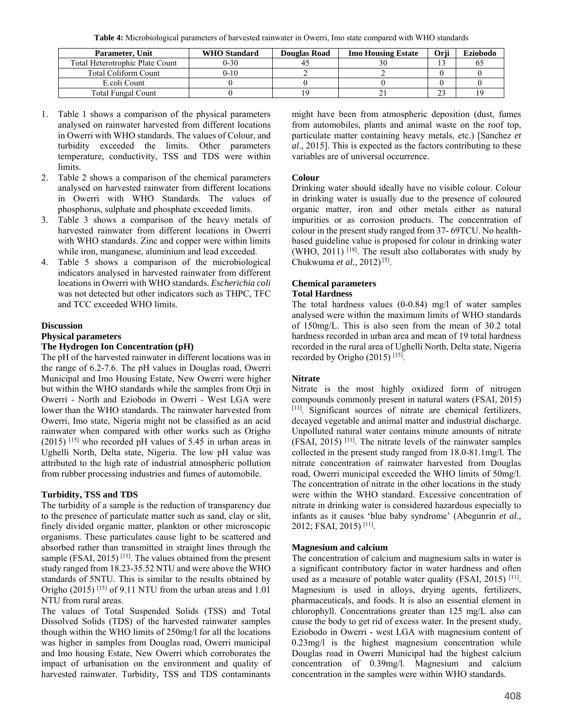**Table 4:** Microbiological parameters of harvested rainwater in Owerri, Imo state compared with WHO standards

| Parameter, Unit                        | <b>WHO</b> Standard | Douglas Road | <b>Imo Housing Estate</b> | Orii | Eziobodo |
|----------------------------------------|---------------------|--------------|---------------------------|------|----------|
| <b>Total Heterotrophic Plate Count</b> | $0 - 30$            |              |                           |      |          |
| <b>Total Coliform Count</b>            | $-10$               |              |                           |      |          |
| E.coli Count                           |                     |              |                           |      |          |
| <b>Total Fungal Count</b>              |                     |              |                           |      |          |

- 1. Table 1 shows a comparison of the physical parameters analysed on rainwater harvested from different locations in Owerri with WHO standards. The values of Colour, and turbidity exceeded the limits. Other parameters temperature, conductivity, TSS and TDS were within limits.
- 2. Table 2 shows a comparison of the chemical parameters analysed on harvested rainwater from different locations in Owerri with WHO Standards. The values of phosphorus, sulphate and phosphate exceeded limits.
- 3. Table 3 shows a comparison of the heavy metals of harvested rainwater from different locations in Owerri with WHO standards. Zinc and copper were within limits while iron, manganese, aluminium and lead exceeded.
- 4. Table 5 shows a comparison of the microbiological indicators analysed in harvested rainwater from different locations in Owerri with WHO standards. *Escherichia coli* was not detected but other indicators such as THPC, TFC and TCC exceeded WHO limits.

#### **Discussion**

#### **Physical parameters**

#### **The Hydrogen Ion Concentration (pH)**

The pH of the harvested rainwater in different locations was in the range of 6.2-7.6. The pH values in Douglas road, Owerri Municipal and Imo Housing Estate, New Owerri were higher but within the WHO standards while the samples from Orji in Owerri - North and Eziobodo in Owerri - West LGA were lower than the WHO standards. The rainwater harvested from Owerri, Imo state, Nigeria might not be classified as an acid rainwater when compared with other works such as Origho  $(2015)$  <sup>[15]</sup> who recorded pH values of 5.45 in urban areas in Ughelli North, Delta state, Nigeria. The low pH value was attributed to the high rate of industrial atmospheric pollution from rubber processing industries and fumes of automobile.

### **Turbidity, TSS and TDS**

The turbidity of a sample is the reduction of transparency due to the presence of particulate matter such as sand, clay or slit, finely divided organic matter, plankton or other microscopic organisms. These particulates cause light to be scattered and absorbed rather than transmitted in straight lines through the sample (FSAI,  $2015$ )<sup>[11]</sup>. The values obtained from the present study ranged from 18.23-35.52 NTU and were above the WHO standards of 5NTU. This is similar to the results obtained by Origho  $(2015)$ <sup>[15]</sup> of 9.11 NTU from the urban areas and 1.01 NTU from rural areas.

The values of Total Suspended Solids (TSS) and Total Dissolved Solids (TDS) of the harvested rainwater samples though within the WHO limits of 250mg/l for all the locations was higher in samples from Douglas road, Owerri municipal and Imo housing Estate, New Owerri which corroborates the impact of urbanisation on the environment and quality of harvested rainwater. Turbidity, TSS and TDS contaminants might have been from atmospheric deposition (dust, fumes from automobiles, plants and animal waste on the roof top, particulate matter containing heavy metals, etc.) [Sanchez *et al*., 2015]. This is expected as the factors contributing to these variables are of universal occurrence.

### **Colour**

Drinking water should ideally have no visible colour. Colour in drinking water is usually due to the presence of coloured organic matter, iron and other metals either as natural impurities or as corrosion products. The concentration of colour in the present study ranged from 37- 69TCU. No healthbased guideline value is proposed for colour in drinking water (WHO, 2011)  $[18]$ . The result also collaborates with study by Chukwuma *et al.,* 2012) [5].

## **Chemical parameters**

## **Total Hardness**

The total hardness values (0-0.84) mg/l of water samples analysed were within the maximum limits of WHO standards of 150mg/L. This is also seen from the mean of 30.2 total hardness recorded in urban area and mean of 19 total hardness recorded in the rural area of Ughelli North, Delta state, Nigeria recorded by Origho (2015) [15].

### **Nitrate**

Nitrate is the most highly oxidized form of nitrogen compounds commonly present in natural waters (FSAI, 2015) [11]. Significant sources of nitrate are chemical fertilizers, decayed vegetable and animal matter and industrial discharge. Unpolluted natural water contains minute amounts of nitrate  $(FSAI, 2015)$ <sup>[11]</sup>. The nitrate levels of the rainwater samples collected in the present study ranged from 18.0-81.1mg/l. The nitrate concentration of rainwater harvested from Douglas road, Owerri municipal exceeded the WHO limits of 50mg/l. The concentration of nitrate in the other locations in the study were within the WHO standard. Excessive concentration of nitrate in drinking water is considered hazardous especially to infants as it causes 'blue baby syndrome' (Abegunrin *et al.,*  2012; FSAI, 2015) [11].

### **Magnesium and calcium**

The concentration of calcium and magnesium salts in water is a significant contributory factor in water hardness and often used as a measure of potable water quality (FSAI, 2015) <sup>[11]</sup>. Magnesium is used in alloys, drying agents, fertilizers, pharmaceuticals, and foods. It is also an essential element in chlorophyll. Concentrations greater than 125 mg/L also can cause the body to get rid of excess water. In the present study, Eziobodo in Owerri - west LGA with magnesium content of 0.23mg/l is the highest magnesium concentration while Douglas road in Owerri Municipal had the highest calcium concentration of 0.39mg/l. Magnesium and calcium concentration in the samples were within WHO standards.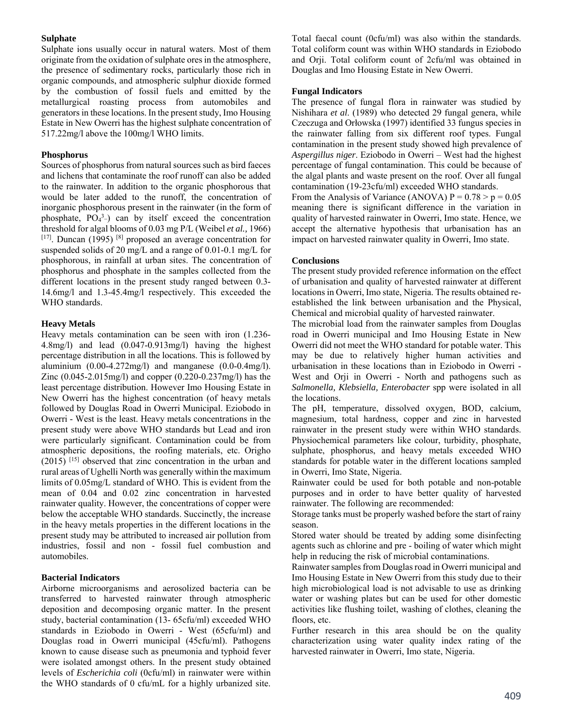## **Sulphate**

Sulphate ions usually occur in natural waters. Most of them originate from the oxidation of sulphate ores in the atmosphere, the presence of sedimentary rocks, particularly those rich in organic compounds, and atmospheric sulphur dioxide formed by the combustion of fossil fuels and emitted by the metallurgical roasting process from automobiles and generators in these locations. In the present study, Imo Housing Estate in New Owerri has the highest sulphate concentration of 517.22mg/l above the 100mg/l WHO limits.

## **Phosphorus**

Sources of phosphorus from natural sources such as bird faeces and lichens that contaminate the roof runoff can also be added to the rainwater. In addition to the organic phosphorous that would be later added to the runoff, the concentration of inorganic phosphorous present in the rainwater (in the form of phosphate,  $PO_4^3$ -) can by itself exceed the concentration threshold for algal blooms of 0.03 mg P/L (Weibel *et al.,* 1966)  $[17]$ . Duncan (1995)  $[8]$  proposed an average concentration for suspended solids of 20 mg/L and a range of 0.01-0.1 mg/L for phosphorous, in rainfall at urban sites. The concentration of phosphorus and phosphate in the samples collected from the different locations in the present study ranged between 0.3- 14.6mg/l and 1.3-45.4mg/l respectively. This exceeded the WHO standards.

## **Heavy Metals**

Heavy metals contamination can be seen with iron (1.236- 4.8mg/l) and lead (0.047-0.913mg/l) having the highest percentage distribution in all the locations. This is followed by aluminium  $(0.00-4.272mg/l)$  and manganese  $(0.0-0.4mg/l)$ . Zinc (0.045-2.015mg/l) and copper (0.220-0.237mg/l) has the least percentage distribution. However Imo Housing Estate in New Owerri has the highest concentration (of heavy metals followed by Douglas Road in Owerri Municipal. Eziobodo in Owerri - West is the least. Heavy metals concentrations in the present study were above WHO standards but Lead and iron were particularly significant. Contamination could be from atmospheric depositions, the roofing materials, etc. Origho  $(2015)$  [15] observed that zinc concentration in the urban and rural areas of Ughelli North was generally within the maximum limits of 0.05mg/L standard of WHO. This is evident from the mean of 0.04 and 0.02 zinc concentration in harvested rainwater quality. However, the concentrations of copper were below the acceptable WHO standards. Succinctly, the increase in the heavy metals properties in the different locations in the present study may be attributed to increased air pollution from industries, fossil and non - fossil fuel combustion and automobiles.

### **Bacterial Indicators**

Airborne microorganisms and aerosolized bacteria can be transferred to harvested rainwater through atmospheric deposition and decomposing organic matter. In the present study, bacterial contamination (13- 65cfu/ml) exceeded WHO standards in Eziobodo in Owerri - West (65cfu/ml) and Douglas road in Owerri municipal (45cfu/ml). Pathogens known to cause disease such as pneumonia and typhoid fever were isolated amongst others. In the present study obtained levels of *Escherichia coli* (0cfu/ml) in rainwater were within the WHO standards of 0 cfu/mL for a highly urbanized site.

Total faecal count (0cfu/ml) was also within the standards. Total coliform count was within WHO standards in Eziobodo and Orji. Total coliform count of 2cfu/ml was obtained in Douglas and Imo Housing Estate in New Owerri.

## **Fungal Indicators**

The presence of fungal flora in rainwater was studied by Nishihara *et al*. (1989) who detected 29 fungal genera, while Czeczuga and Orłowska (1997) identified 33 fungus species in the rainwater falling from six different roof types. Fungal contamination in the present study showed high prevalence of *Aspergillus niger*. Eziobodo in Owerri – West had the highest percentage of fungal contamination. This could be because of the algal plants and waste present on the roof. Over all fungal contamination (19-23cfu/ml) exceeded WHO standards.

From the Analysis of Variance (ANOVA)  $P = 0.78 > p = 0.05$ meaning there is significant difference in the variation in quality of harvested rainwater in Owerri, Imo state. Hence, we accept the alternative hypothesis that urbanisation has an impact on harvested rainwater quality in Owerri, Imo state.

### **Conclusions**

The present study provided reference information on the effect of urbanisation and quality of harvested rainwater at different locations in Owerri, Imo state, Nigeria. The results obtained reestablished the link between urbanisation and the Physical, Chemical and microbial quality of harvested rainwater.

The microbial load from the rainwater samples from Douglas road in Owerri municipal and Imo Housing Estate in New Owerri did not meet the WHO standard for potable water. This may be due to relatively higher human activities and urbanisation in these locations than in Eziobodo in Owerri - West and Orji in Owerri - North and pathogens such as *Salmonella, Klebsiella, Enterobacter* spp were isolated in all the locations.

The pH, temperature, dissolved oxygen, BOD, calcium, magnesium, total hardness, copper and zinc in harvested rainwater in the present study were within WHO standards. Physiochemical parameters like colour, turbidity, phosphate, sulphate, phosphorus, and heavy metals exceeded WHO standards for potable water in the different locations sampled in Owerri, Imo State, Nigeria.

Rainwater could be used for both potable and non-potable purposes and in order to have better quality of harvested rainwater. The following are recommended:

Storage tanks must be properly washed before the start of rainy season.

Stored water should be treated by adding some disinfecting agents such as chlorine and pre - boiling of water which might help in reducing the risk of microbial contaminations.

Rainwater samples from Douglas road in Owerri municipal and Imo Housing Estate in New Owerri from this study due to their high microbiological load is not advisable to use as drinking water or washing plates but can be used for other domestic activities like flushing toilet, washing of clothes, cleaning the floors, etc.

Further research in this area should be on the quality characterization using water quality index rating of the harvested rainwater in Owerri, Imo state, Nigeria.